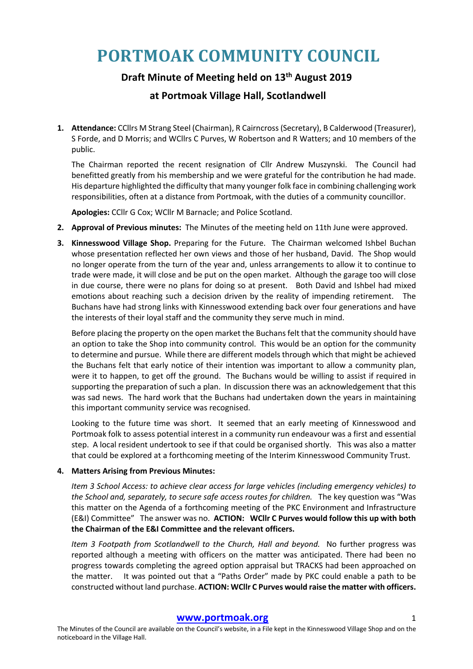# **PORTMOAK COMMUNITY COUNCIL**

# **Draft Minute of Meeting held on 13th August 2019**

# **at Portmoak Village Hall, Scotlandwell**

**1. Attendance:** CCllrs M Strang Steel (Chairman), R Cairncross (Secretary), B Calderwood (Treasurer), S Forde, and D Morris; and WCllrs C Purves, W Robertson and R Watters; and 10 members of the public.

The Chairman reported the recent resignation of Cllr Andrew Muszynski. The Council had benefitted greatly from his membership and we were grateful for the contribution he had made. His departure highlighted the difficulty that many younger folk face in combining challenging work responsibilities, often at a distance from Portmoak, with the duties of a community councillor.

**Apologies:** CCllr G Cox; WCllr M Barnacle; and Police Scotland.

- **2. Approval of Previous minutes:** The Minutes of the meeting held on 11th June were approved.
- **3. Kinnesswood Village Shop.** Preparing for the Future. The Chairman welcomed Ishbel Buchan whose presentation reflected her own views and those of her husband, David. The Shop would no longer operate from the turn of the year and, unless arrangements to allow it to continue to trade were made, it will close and be put on the open market. Although the garage too will close in due course, there were no plans for doing so at present. Both David and Ishbel had mixed emotions about reaching such a decision driven by the reality of impending retirement. The Buchans have had strong links with Kinnesswood extending back over four generations and have the interests of their loyal staff and the community they serve much in mind.

Before placing the property on the open market the Buchans felt that the community should have an option to take the Shop into community control. This would be an option for the community to determine and pursue. While there are different models through which that might be achieved the Buchans felt that early notice of their intention was important to allow a community plan, were it to happen, to get off the ground. The Buchans would be willing to assist if required in supporting the preparation of such a plan. In discussion there was an acknowledgement that this was sad news. The hard work that the Buchans had undertaken down the years in maintaining this important community service was recognised.

Looking to the future time was short. It seemed that an early meeting of Kinnesswood and Portmoak folk to assess potential interest in a community run endeavour was a first and essential step. A local resident undertook to see if that could be organised shortly. This was also a matter that could be explored at a forthcoming meeting of the Interim Kinnesswood Community Trust.

# **4. Matters Arising from Previous Minutes:**

*Item 3 School Access: to achieve clear access for large vehicles (including emergency vehicles) to the School and, separately, to secure safe access routes for children.* The key question was "Was this matter on the Agenda of a forthcoming meeting of the PKC Environment and Infrastructure (E&I) Committee" The answer was no. **ACTION: WCllr C Purves would follow this up with both the Chairman of the E&I Committee and the relevant officers.**

*Item 3 Footpath from Scotlandwell to the Church, Hall and beyond.* No further progress was reported although a meeting with officers on the matter was anticipated. There had been no progress towards completing the agreed option appraisal but TRACKS had been approached on the matter. It was pointed out that a "Paths Order" made by PKC could enable a path to be constructed without land purchase. **ACTION: WCllr C Purves would raise the matter with officers.**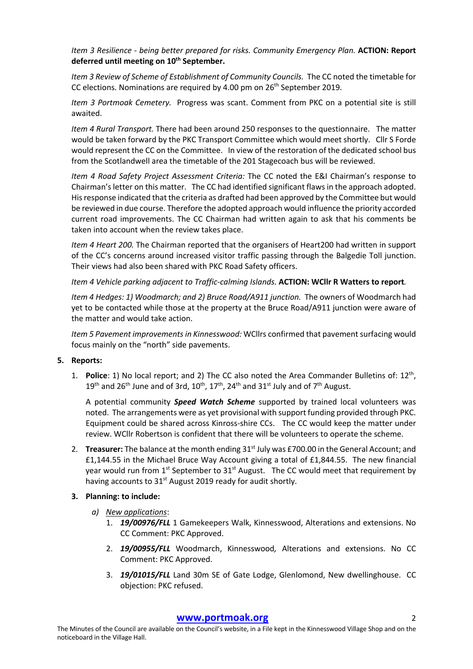*Item 3 Resilience - being better prepared for risks. Community Emergency Plan.* **ACTION: Report deferred until meeting on 10th September.**

*Item 3 Review of Scheme of Establishment of Community Councils.* The CC noted the timetable for CC elections. Nominations are required by 4.00 pm on 26<sup>th</sup> September 2019.

*Item 3 Portmoak Cemetery.* Progress was scant. Comment from PKC on a potential site is still awaited.

*Item 4 Rural Transport.* There had been around 250 responses to the questionnaire. The matter would be taken forward by the PKC Transport Committee which would meet shortly. Cllr S Forde would represent the CC on the Committee. In view of the restoration of the dedicated school bus from the Scotlandwell area the timetable of the 201 Stagecoach bus will be reviewed.

*Item 4 Road Safety Project Assessment Criteria:* The CC noted the E&I Chairman's response to Chairman's letter on this matter. The CC had identified significant flaws in the approach adopted. His response indicated that the criteria as drafted had been approved by the Committee but would be reviewed in due course. Therefore the adopted approach would influence the priority accorded current road improvements. The CC Chairman had written again to ask that his comments be taken into account when the review takes place.

*Item 4 Heart 200.* The Chairman reported that the organisers of Heart200 had written in support of the CC's concerns around increased visitor traffic passing through the Balgedie Toll junction. Their views had also been shared with PKC Road Safety officers.

*Item 4 Vehicle parking adjacent to Traffic-calming Islands.* **ACTION: WCllr R Watters to report***.*

*Item 4 Hedges: 1) Woodmarch; and 2) Bruce Road/A911 junction.* The owners of Woodmarch had yet to be contacted while those at the property at the Bruce Road/A911 junction were aware of the matter and would take action.

*Item 5 Pavement improvements in Kinnesswood:* WCllrs confirmed that pavement surfacing would focus mainly on the "north" side pavements.

#### **5. Reports:**

1. **Police**: 1) No local report; and 2) The CC also noted the Area Commander Bulletins of: 12th, 19<sup>th</sup> and 26<sup>th</sup> June and of 3rd,  $10^{th}$ ,  $17^{th}$ ,  $24^{th}$  and  $31^{st}$  July and of  $7^{th}$  August.

A potential community *Speed Watch Scheme* supported by trained local volunteers was noted. The arrangements were as yet provisional with support funding provided through PKC. Equipment could be shared across Kinross-shire CCs. The CC would keep the matter under review. WCllr Robertson is confident that there will be volunteers to operate the scheme.

2. **Treasurer:** The balance at the month ending 31<sup>st</sup> July was £700.00 in the General Account; and £1,144.55 in the Michael Bruce Way Account giving a total of £1,844.55. The new financial year would run from  $1^{st}$  September to  $31^{st}$  August. The CC would meet that requirement by having accounts to 31<sup>st</sup> August 2019 ready for audit shortly.

#### **3. Planning: to include:**

- *a) New applications*:
	- 1. *19/00976/FLL* 1 Gamekeepers Walk, Kinnesswood, Alterations and extensions. No CC Comment: PKC Approved.
	- 2. *19/00955/FLL* Woodmarch, Kinnesswood*,* Alterations and extensions. No CC Comment: PKC Approved.
	- 3. *19/01015/FLL* Land 30m SE of Gate Lodge, Glenlomond, New dwellinghouse. CC objection: PKC refused.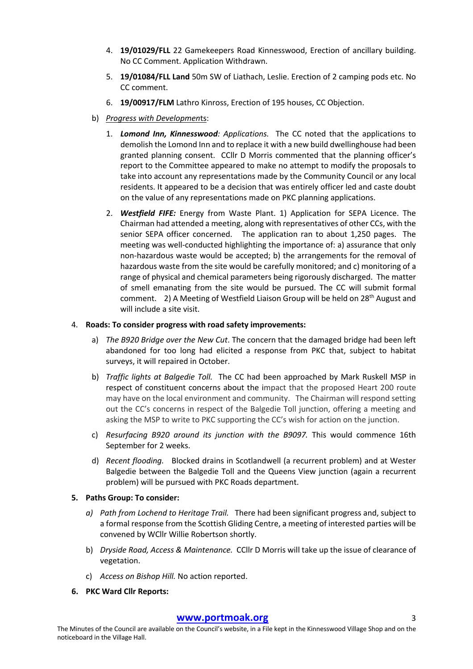- 4. **19/01029/FLL** 22 Gamekeepers Road Kinnesswood, Erection of ancillary building. No CC Comment. Application Withdrawn.
- 5. **19/01084/FLL Land** 50m SW of Liathach, Leslie. Erection of 2 camping pods etc. No CC comment.
- 6. **19/00917/FLM** Lathro Kinross, Erection of 195 houses, CC Objection.
- b) *Progress with Developmen*ts:
	- 1. *Lomond Inn, Kinnesswood: Applications.* The CC noted that the applications to demolish the Lomond Inn and to replace it with a new build dwellinghouse had been granted planning consent. CCllr D Morris commented that the planning officer's report to the Committee appeared to make no attempt to modify the proposals to take into account any representations made by the Community Council or any local residents. It appeared to be a decision that was entirely officer led and caste doubt on the value of any representations made on PKC planning applications.
	- 2. *Westfield FIFE:* Energy from Waste Plant. 1) Application for SEPA Licence. The Chairman had attended a meeting, along with representatives of other CCs, with the senior SEPA officer concerned. The application ran to about 1,250 pages. The meeting was well-conducted highlighting the importance of: a) assurance that only non-hazardous waste would be accepted; b) the arrangements for the removal of hazardous waste from the site would be carefully monitored; and c) monitoring of a range of physical and chemical parameters being rigorously discharged. The matter of smell emanating from the site would be pursued. The CC will submit formal comment. 2) A Meeting of Westfield Liaison Group will be held on 28<sup>th</sup> August and will include a site visit.

#### 4. **Roads: To consider progress with road safety improvements:**

- a) *The B920 Bridge over the New Cut*. The concern that the damaged bridge had been left abandoned for too long had elicited a response from PKC that, subject to habitat surveys, it will repaired in October.
- b) *Traffic lights at Balgedie Toll.* The CC had been approached by Mark Ruskell MSP in respect of constituent concerns about the impact that the proposed Heart 200 route may have on the local environment and community. The Chairman will respond setting out the CC's concerns in respect of the Balgedie Toll junction, offering a meeting and asking the MSP to write to PKC supporting the CC's wish for action on the junction.
- c) *Resurfacing B920 around its junction with the B9097.* This would commence 16th September for 2 weeks.
- d) *Recent flooding.* Blocked drains in Scotlandwell (a recurrent problem) and at Wester Balgedie between the Balgedie Toll and the Queens View junction (again a recurrent problem) will be pursued with PKC Roads department.

# **5. Paths Group: To consider:**

- *a) Path from Lochend to Heritage Trail.* There had been significant progress and, subject to a formal response from the Scottish Gliding Centre, a meeting of interested parties will be convened by WCllr Willie Robertson shortly.
- b) *Dryside Road, Access & Maintenance.* CCllr D Morris will take up the issue of clearance of vegetation.
- c) *Access on Bishop Hill.* No action reported.
- **6. PKC Ward Cllr Reports:**